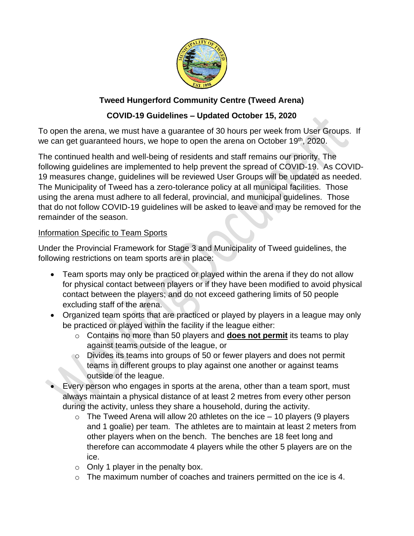

# **Tweed Hungerford Community Centre (Tweed Arena)**

# **COVID-19 Guidelines – Updated October 15, 2020**

To open the arena, we must have a guarantee of 30 hours per week from User Groups. If we can get guaranteed hours, we hope to open the arena on October 19<sup>th</sup>, 2020.

The continued health and well-being of residents and staff remains our priority. The following guidelines are implemented to help prevent the spread of COVID-19. As COVID-19 measures change, guidelines will be reviewed User Groups will be updated as needed. The Municipality of Tweed has a zero-tolerance policy at all municipal facilities. Those using the arena must adhere to all federal, provincial, and municipal guidelines. Those that do not follow COVID-19 guidelines will be asked to leave and may be removed for the remainder of the season.

## Information Specific to Team Sports

Under the Provincial Framework for Stage 3 and Municipality of Tweed guidelines, the following restrictions on team sports are in place:

- Team sports may only be practiced or played within the arena if they do not allow for physical contact between players or if they have been modified to avoid physical contact between the players; and do not exceed gathering limits of 50 people excluding staff of the arena.
- Organized team sports that are practiced or played by players in a league may only be practiced or played within the facility if the league either:
	- o Contains no more than 50 players and **does not permit** its teams to play against teams outside of the league, or
	- o Divides its teams into groups of 50 or fewer players and does not permit teams in different groups to play against one another or against teams outside of the league.
- Every person who engages in sports at the arena, other than a team sport, must always maintain a physical distance of at least 2 metres from every other person during the activity, unless they share a household, during the activity.
	- $\circ$  The Tweed Arena will allow 20 athletes on the ice 10 players (9 players and 1 goalie) per team. The athletes are to maintain at least 2 meters from other players when on the bench. The benches are 18 feet long and therefore can accommodate 4 players while the other 5 players are on the ice.
	- $\circ$  Only 1 player in the penalty box.
	- o The maximum number of coaches and trainers permitted on the ice is 4.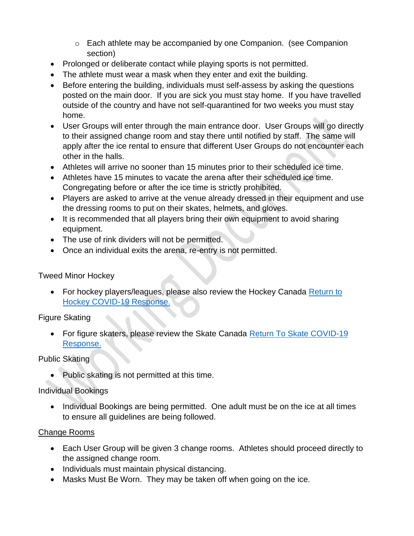- o Each athlete may be accompanied by one Companion. (see Companion section)
- Prolonged or deliberate contact while playing sports is not permitted.
- The athlete must wear a mask when they enter and exit the building.
- Before entering the building, individuals must self-assess by asking the questions posted on the main door. If you are sick you must stay home. If you have travelled outside of the country and have not self-quarantined for two weeks you must stay home.
- User Groups will enter through the main entrance door. User Groups will go directly to their assigned change room and stay there until notified by staff. The same will apply after the ice rental to ensure that different User Groups do not encounter each other in the halls.
- Athletes will arrive no sooner than 15 minutes prior to their scheduled ice time.
- Athletes have 15 minutes to vacate the arena after their scheduled ice time. Congregating before or after the ice time is strictly prohibited.
- Players are asked to arrive at the venue already dressed in their equipment and use the dressing rooms to put on their skates, helmets, and gloves.
- It is recommended that all players bring their own equipment to avoid sharing equipment.
- The use of rink dividers will not be permitted.
- Once an individual exits the arena, re-entry is not permitted.

## Tweed Minor Hockey

• For hockey players/leagues, please also review the Hockey Canada Return to [Hockey COVID-19 Response.](https://e-registration.omha.net/OMHAPortal/Download/HC_RTH_SafetyGUIDELINES_8.5X11_ENG_FINAL.pdf)

## Figure Skating

• For figure skaters, please review the Skate Canada Return To Skate COVID-19 [Response.](https://skateontario.org/updated-return-to-play-documents-as-of-august-17-2020/)

## Public Skating

• Public skating is not permitted at this time.

## Individual Bookings

• Individual Bookings are being permitted. One adult must be on the ice at all times to ensure all guidelines are being followed.

## Change Rooms

- Each User Group will be given 3 change rooms. Athletes should proceed directly to the assigned change room.
- Individuals must maintain physical distancing.
- Masks Must Be Worn. They may be taken off when going on the ice.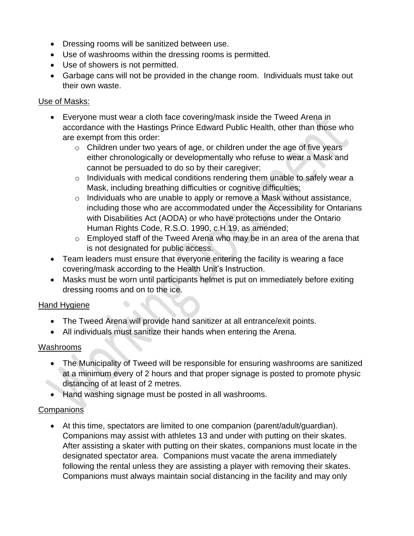- Dressing rooms will be sanitized between use.
- Use of washrooms within the dressing rooms is permitted.
- Use of showers is not permitted.
- Garbage cans will not be provided in the change room. Individuals must take out their own waste.

## Use of Masks:

- Everyone must wear a cloth face covering/mask inside the Tweed Arena in accordance with the Hastings Prince Edward Public Health, other than those who are exempt from this order:
	- o Children under two years of age, or children under the age of five years either chronologically or developmentally who refuse to wear a Mask and cannot be persuaded to do so by their caregiver;
	- o Individuals with medical conditions rendering them unable to safely wear a Mask, including breathing difficulties or cognitive difficulties;
	- o Individuals who are unable to apply or remove a Mask without assistance, including those who are accommodated under the Accessibility for Ontarians with Disabilities Act (AODA) or who have protections under the Ontario Human Rights Code, R.S.O. 1990, c.H.19, as amended;
	- o Employed staff of the Tweed Arena who may be in an area of the arena that is not designated for public access.
- Team leaders must ensure that everyone entering the facility is wearing a face covering/mask according to the Health Unit's Instruction.
- Masks must be worn until participants helmet is put on immediately before exiting dressing rooms and on to the ice.

## Hand Hygiene

- The Tweed Arena will provide hand sanitizer at all entrance/exit points.
- All individuals must sanitize their hands when entering the Arena.

## Washrooms

- The Municipality of Tweed will be responsible for ensuring washrooms are sanitized at a minimum every of 2 hours and that proper signage is posted to promote physic distancing of at least of 2 metres.
- Hand washing signage must be posted in all washrooms.

 $\bullet$ 

## **Companions**

• At this time, spectators are limited to one companion (parent/adult/guardian). Companions may assist with athletes 13 and under with putting on their skates. After assisting a skater with putting on their skates, companions must locate in the designated spectator area. Companions must vacate the arena immediately following the rental unless they are assisting a player with removing their skates. Companions must always maintain social distancing in the facility and may only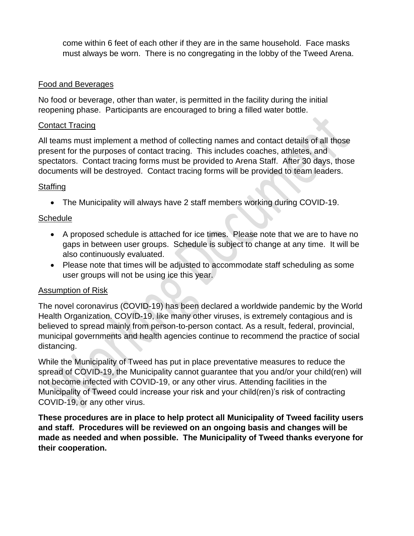come within 6 feet of each other if they are in the same household. Face masks must always be worn. There is no congregating in the lobby of the Tweed Arena.

#### Food and Beverages

No food or beverage, other than water, is permitted in the facility during the initial reopening phase. Participants are encouraged to bring a filled water bottle.

#### Contact Tracing

All teams must implement a method of collecting names and contact details of all those present for the purposes of contact tracing. This includes coaches, athletes, and spectators. Contact tracing forms must be provided to Arena Staff. After 30 days, those documents will be destroyed. Contact tracing forms will be provided to team leaders.

## **Staffing**

• The Municipality will always have 2 staff members working during COVID-19.

## **Schedule**

- A proposed schedule is attached for ice times. Please note that we are to have no gaps in between user groups. Schedule is subject to change at any time. It will be also continuously evaluated.
- Please note that times will be adjusted to accommodate staff scheduling as some user groups will not be using ice this year.

## Assumption of Risk

The novel coronavirus (COVID-19) has been declared a worldwide pandemic by the World Health Organization. COVID-19, like many other viruses, is extremely contagious and is believed to spread mainly from person-to-person contact. As a result, federal, provincial, municipal governments and health agencies continue to recommend the practice of social distancing.

While the Municipality of Tweed has put in place preventative measures to reduce the spread of COVID-19, the Municipality cannot guarantee that you and/or your child(ren) will not become infected with COVID-19, or any other virus. Attending facilities in the Municipality of Tweed could increase your risk and your child(ren)'s risk of contracting COVID-19, or any other virus.

**These procedures are in place to help protect all Municipality of Tweed facility users and staff. Procedures will be reviewed on an ongoing basis and changes will be made as needed and when possible. The Municipality of Tweed thanks everyone for their cooperation.**